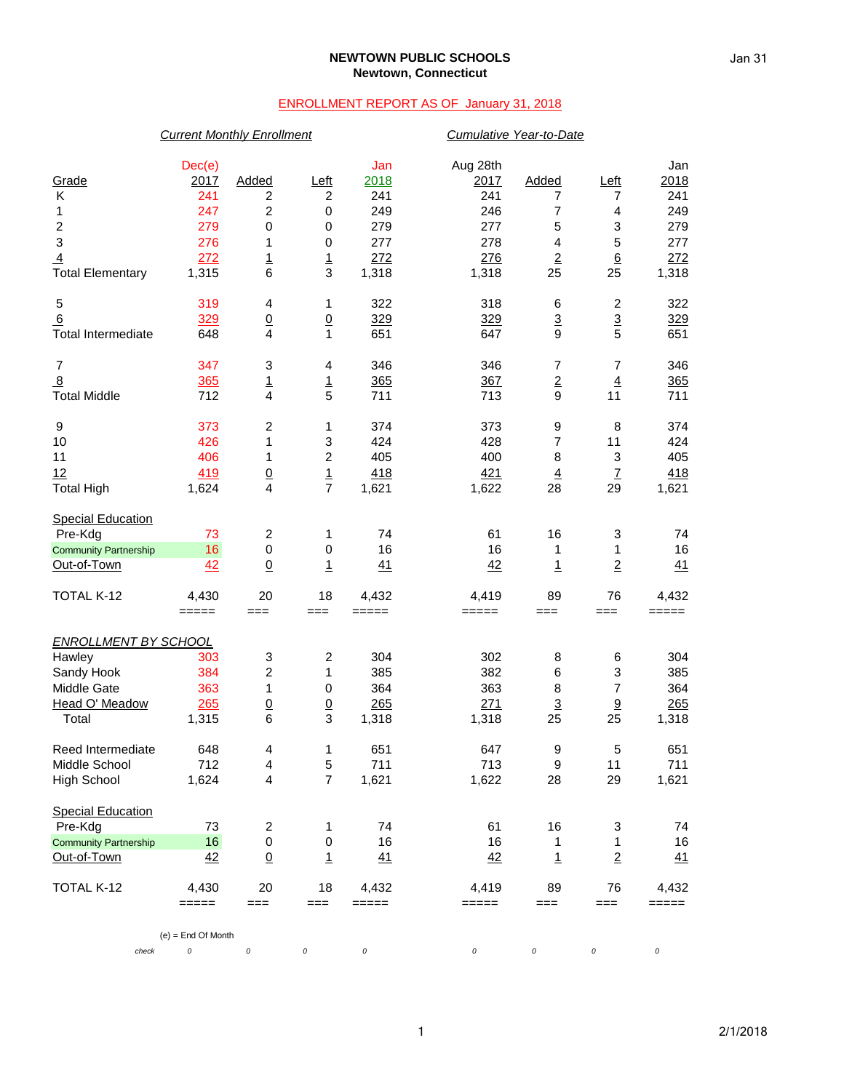## **NEWTOWN PUBLIC SCHOOLS Newtown, Connecticut**

## ENROLLMENT REPORT AS OF January 31, 2018

|                              | <b>Current Monthly Enrollment</b> |                         |                           | Cumulative Year-to-Date |          |                          |                         |         |
|------------------------------|-----------------------------------|-------------------------|---------------------------|-------------------------|----------|--------------------------|-------------------------|---------|
|                              | Dec(e)                            |                         |                           | Jan                     | Aug 28th |                          |                         | Jan     |
| Grade                        | 2017                              | Added                   | Left                      | 2018                    | 2017     | Added                    | Left                    | 2018    |
| Κ                            | 241                               | 2                       | 2                         | 241                     | 241      | 7                        | 7                       | 241     |
| 1                            | 247                               | 2                       | $\pmb{0}$                 | 249                     | 246      | $\overline{7}$           | $\overline{\mathbf{4}}$ | 249     |
| $\boldsymbol{2}$             | 279                               | $\pmb{0}$               | $\pmb{0}$                 | 279                     | 277      | 5                        | 3                       | 279     |
| $\ensuremath{\mathsf{3}}$    | 276                               | 1                       | $\boldsymbol{0}$          | 277                     | 278      | $\overline{\mathbf{4}}$  | 5                       | 277     |
| $\overline{4}$               | 272                               | $\overline{1}$          | $\overline{1}$            | 272                     | 276      | $\underline{\mathbf{2}}$ | $\underline{6}$         | 272     |
| <b>Total Elementary</b>      | 1,315                             | $6\phantom{1}6$         | 3                         | 1,318                   | 1,318    | 25                       | 25                      | 1,318   |
| 5                            | 319                               | 4                       | 1                         | 322                     | 318      | 6                        | $\overline{\mathbf{c}}$ | 322     |
| 6                            | 329                               | $\underline{0}$         | $\underline{0}$           | 329                     | 329      | $\overline{3}$           | $\frac{3}{5}$           | 329     |
| <b>Total Intermediate</b>    | 648                               | $\overline{4}$          | $\mathbf{1}$              | 651                     | 647      | 9                        |                         | 651     |
| $\overline{7}$               | 347                               | 3                       | 4                         | 346                     | 346      | $\overline{7}$           | $\overline{7}$          | 346     |
| $\overline{8}$               | 365                               | $\mathbf{1}$            | $\mathbf{1}$              | 365                     | 367      | $\overline{2}$           | $\overline{4}$          | 365     |
| <b>Total Middle</b>          | 712                               | $\overline{4}$          | 5                         | 711                     | 713      | 9                        | 11                      | 711     |
| 9                            | 373                               | $\overline{c}$          | 1                         | 374                     | 373      | 9                        | 8                       | 374     |
| 10                           | 426                               | 1                       | $\ensuremath{\mathsf{3}}$ | 424                     | 428      | $\overline{7}$           | 11                      | 424     |
| 11                           | 406                               | 1                       | $\overline{\mathbf{c}}$   | 405                     | 400      | 8                        | 3                       | 405     |
| 12                           | 419                               | $\frac{0}{4}$           | $\frac{1}{7}$             | 418                     | 421      | $\overline{4}$           | $\underline{7}$         | 418     |
| <b>Total High</b>            | 1,624                             |                         |                           | 1,621                   | 1,622    | 28                       | 29                      | 1,621   |
| <b>Special Education</b>     |                                   |                         |                           |                         |          |                          |                         |         |
| Pre-Kdg                      | 73                                | $\overline{\mathbf{c}}$ | 1                         | 74                      | 61       | 16                       | 3                       | 74      |
| <b>Community Partnership</b> | 16                                | $\pmb{0}$               | 0                         | 16                      | 16       | 1                        | 1                       | 16      |
| Out-of-Town                  | 42                                | $\overline{0}$          | $\mathbf{1}$              | 41                      | 42       | $\overline{1}$           | $\overline{2}$          | 41      |
| TOTAL K-12                   | 4,430                             | 20                      | 18                        | 4,432                   | 4,419    | 89                       | 76                      | 4,432   |
|                              | $=====$                           | $==$                    | $==$                      | =====                   | $=====$  | $==$                     | ===                     | $=====$ |
| <b>ENROLLMENT BY SCHOOL</b>  |                                   |                         |                           |                         |          |                          |                         |         |
| Hawley                       | 303                               | 3                       | $\boldsymbol{2}$          | 304                     | 302      | 8                        | 6                       | 304     |
| Sandy Hook                   | 384                               | $\boldsymbol{2}$        | 1                         | 385                     | 382      | 6                        | 3                       | 385     |
| Middle Gate                  | 363                               | 1                       | 0                         | 364                     | 363      | 8                        | 7                       | 364     |
| Head O' Meadow               | 265                               | $\overline{0}$          | $\overline{0}$            | 265                     | 271      | $\overline{3}$           | 9                       | 265     |
| Total                        | 1,315                             | 6                       | 3                         | 1,318                   | 1,318    | 25                       | 25                      | 1,318   |
| Reed Intermediate            | 648                               | $\overline{\mathbf{4}}$ | 1                         | 651                     | 647      | 9                        | $\mathbf 5$             | 651     |
| Middle School                | 712                               | $\overline{4}$          | $\mathbf 5$               | 711                     | 713      | $\boldsymbol{9}$         | 11                      | 711     |
| <b>High School</b>           | 1,624                             | $\overline{\mathbf{4}}$ | $\overline{7}$            | 1,621                   | 1,622    | 28                       | 29                      | 1,621   |
| <b>Special Education</b>     |                                   |                         |                           |                         |          |                          |                         |         |
| Pre-Kdg                      | 73                                | $\overline{c}$          | 1                         | 74                      | 61       | 16                       | 3                       | 74      |
| <b>Community Partnership</b> | 16                                | $\pmb{0}$               | $\pmb{0}$                 | 16                      | 16       | 1                        | 1                       | 16      |
| Out-of-Town                  | 42                                | $\underline{0}$         | $\mathbf{1}$              | 41                      | 42       | $\overline{1}$           | $\overline{2}$          | 41      |
| TOTAL K-12                   | 4,430                             | 20                      | 18                        | 4,432                   | 4,419    | 89                       | 76                      | 4,432   |
|                              | $=====$                           | $==$                    | ===                       | =====                   | =====    | ===                      | ===                     | =====   |
|                              | $(e)$ = End Of Month              |                         |                           |                         |          |                          |                         |         |
| check                        | 0                                 | $\cal O$                | 0                         | $\cal O$                | 0        | 0                        | 0                       | 0       |